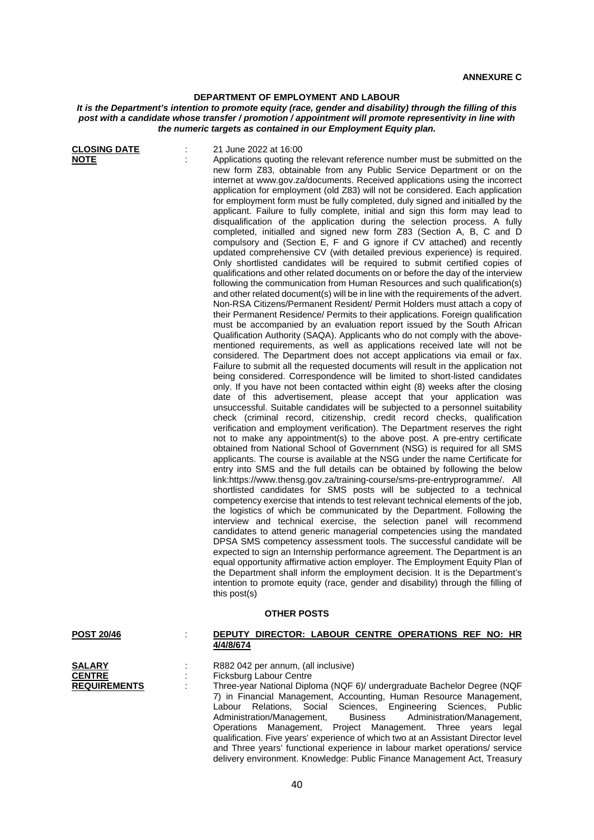## **DEPARTMENT OF EMPLOYMENT AND LABOUR**

## *It is the Department's intention to promote equity (race, gender and disability) through the filling of this post with a candidate whose transfer / promotion / appointment will promote representivity in line with the numeric targets as contained in our Employment Equity plan.*

| <b>CLOSING DATE</b><br><b>NOTE</b>                    | 21 June 2022 at 16:00<br>Applications quoting the relevant reference number must be submitted on the<br>new form Z83, obtainable from any Public Service Department or on the<br>internet at www.gov.za/documents. Received applications using the incorrect<br>application for employment (old Z83) will not be considered. Each application<br>for employment form must be fully completed, duly signed and initialled by the<br>applicant. Failure to fully complete, initial and sign this form may lead to<br>disqualification of the application during the selection process. A fully<br>completed, initialled and signed new form Z83 (Section A, B, C and D<br>compulsory and (Section E, F and G ignore if CV attached) and recently<br>updated comprehensive CV (with detailed previous experience) is required.<br>Only shortlisted candidates will be required to submit certified copies of<br>qualifications and other related documents on or before the day of the interview<br>following the communication from Human Resources and such qualification(s)<br>and other related document(s) will be in line with the requirements of the advert.<br>Non-RSA Citizens/Permanent Resident/ Permit Holders must attach a copy of<br>their Permanent Residence/ Permits to their applications. Foreign qualification<br>must be accompanied by an evaluation report issued by the South African<br>Qualification Authority (SAQA). Applicants who do not comply with the above-<br>mentioned requirements, as well as applications received late will not be<br>considered. The Department does not accept applications via email or fax.<br>Failure to submit all the requested documents will result in the application not<br>being considered. Correspondence will be limited to short-listed candidates<br>only. If you have not been contacted within eight (8) weeks after the closing<br>date of this advertisement, please accept that your application was<br>unsuccessful. Suitable candidates will be subjected to a personnel suitability<br>check (criminal record, citizenship, credit record checks, qualification<br>verification and employment verification). The Department reserves the right<br>not to make any appointment(s) to the above post. A pre-entry certificate<br>obtained from National School of Government (NSG) is required for all SMS<br>applicants. The course is available at the NSG under the name Certificate for<br>entry into SMS and the full details can be obtained by following the below<br>link:https://www.thensg.gov.za/training-course/sms-pre-entryprogramme/. All<br>shortlisted candidates for SMS posts will be subjected to a technical<br>competency exercise that intends to test relevant technical elements of the job,<br>the logistics of which be communicated by the Department. Following the<br>interview and technical exercise, the selection panel will recommend<br>candidates to attend generic managerial competencies using the mandated<br>DPSA SMS competency assessment tools. The successful candidate will be<br>expected to sign an Internship performance agreement. The Department is an<br>equal opportunity affirmative action employer. The Employment Equity Plan of<br>the Department shall inform the employment decision. It is the Department's |
|-------------------------------------------------------|-----------------------------------------------------------------------------------------------------------------------------------------------------------------------------------------------------------------------------------------------------------------------------------------------------------------------------------------------------------------------------------------------------------------------------------------------------------------------------------------------------------------------------------------------------------------------------------------------------------------------------------------------------------------------------------------------------------------------------------------------------------------------------------------------------------------------------------------------------------------------------------------------------------------------------------------------------------------------------------------------------------------------------------------------------------------------------------------------------------------------------------------------------------------------------------------------------------------------------------------------------------------------------------------------------------------------------------------------------------------------------------------------------------------------------------------------------------------------------------------------------------------------------------------------------------------------------------------------------------------------------------------------------------------------------------------------------------------------------------------------------------------------------------------------------------------------------------------------------------------------------------------------------------------------------------------------------------------------------------------------------------------------------------------------------------------------------------------------------------------------------------------------------------------------------------------------------------------------------------------------------------------------------------------------------------------------------------------------------------------------------------------------------------------------------------------------------------------------------------------------------------------------------------------------------------------------------------------------------------------------------------------------------------------------------------------------------------------------------------------------------------------------------------------------------------------------------------------------------------------------------------------------------------------------------------------------------------------------------------------------------------------------------------------------------------------------------------------------------------------------------------------------------------------------------------------------------------------------------------------------------------------------------------------------------------------------------------------------------------|
|                                                       | intention to promote equity (race, gender and disability) through the filling of<br>this post(s)                                                                                                                                                                                                                                                                                                                                                                                                                                                                                                                                                                                                                                                                                                                                                                                                                                                                                                                                                                                                                                                                                                                                                                                                                                                                                                                                                                                                                                                                                                                                                                                                                                                                                                                                                                                                                                                                                                                                                                                                                                                                                                                                                                                                                                                                                                                                                                                                                                                                                                                                                                                                                                                                                                                                                                                                                                                                                                                                                                                                                                                                                                                                                                                                                                                          |
|                                                       | <b>OTHER POSTS</b>                                                                                                                                                                                                                                                                                                                                                                                                                                                                                                                                                                                                                                                                                                                                                                                                                                                                                                                                                                                                                                                                                                                                                                                                                                                                                                                                                                                                                                                                                                                                                                                                                                                                                                                                                                                                                                                                                                                                                                                                                                                                                                                                                                                                                                                                                                                                                                                                                                                                                                                                                                                                                                                                                                                                                                                                                                                                                                                                                                                                                                                                                                                                                                                                                                                                                                                                        |
| <b>POST 20/46</b>                                     | DEPUTY DIRECTOR: LABOUR CENTRE OPERATIONS REF NO: HR<br>4/4/8/674                                                                                                                                                                                                                                                                                                                                                                                                                                                                                                                                                                                                                                                                                                                                                                                                                                                                                                                                                                                                                                                                                                                                                                                                                                                                                                                                                                                                                                                                                                                                                                                                                                                                                                                                                                                                                                                                                                                                                                                                                                                                                                                                                                                                                                                                                                                                                                                                                                                                                                                                                                                                                                                                                                                                                                                                                                                                                                                                                                                                                                                                                                                                                                                                                                                                                         |
| <b>SALARY</b><br><b>CENTRE</b><br><b>REQUIREMENTS</b> | R882 042 per annum, (all inclusive)<br>Ficksburg Labour Centre<br>Three-year National Diploma (NQF 6)/ undergraduate Bachelor Degree (NQF<br>7) in Financial Management, Accounting, Human Resource Management,<br>Engineering Sciences,<br>Labour Relations, Social<br>Sciences,<br>Public<br>Administration/Management,<br>Administration/Management,<br><b>Business</b><br>Operations Management,<br>Project Management. Three years<br>legal<br>qualification. Five years' experience of which two at an Assistant Director level<br>and Three years' functional experience in labour market operations/ service                                                                                                                                                                                                                                                                                                                                                                                                                                                                                                                                                                                                                                                                                                                                                                                                                                                                                                                                                                                                                                                                                                                                                                                                                                                                                                                                                                                                                                                                                                                                                                                                                                                                                                                                                                                                                                                                                                                                                                                                                                                                                                                                                                                                                                                                                                                                                                                                                                                                                                                                                                                                                                                                                                                                      |

delivery environment. Knowledge: Public Finance Management Act, Treasury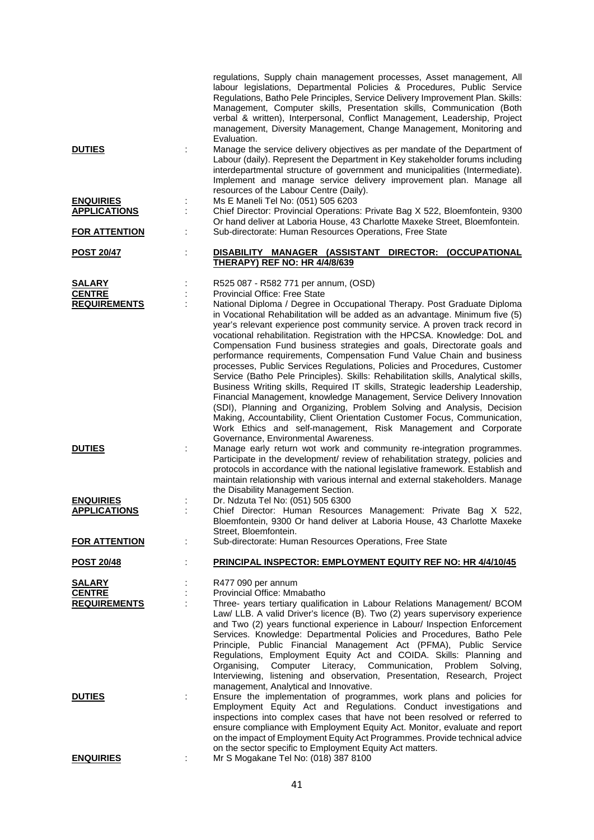|                                      |   | regulations, Supply chain management processes, Asset management, All<br>labour legislations, Departmental Policies & Procedures, Public Service<br>Regulations, Batho Pele Principles, Service Delivery Improvement Plan. Skills:<br>Management, Computer skills, Presentation skills, Communication (Both<br>verbal & written), Interpersonal, Conflict Management, Leadership, Project<br>management, Diversity Management, Change Management, Monitoring and<br>Evaluation.                                                                                                                                                                                                                                                                                                                                                                                                                                                                                                                                                                                                                                                                                                                                                                                                                                                                                                                        |
|--------------------------------------|---|--------------------------------------------------------------------------------------------------------------------------------------------------------------------------------------------------------------------------------------------------------------------------------------------------------------------------------------------------------------------------------------------------------------------------------------------------------------------------------------------------------------------------------------------------------------------------------------------------------------------------------------------------------------------------------------------------------------------------------------------------------------------------------------------------------------------------------------------------------------------------------------------------------------------------------------------------------------------------------------------------------------------------------------------------------------------------------------------------------------------------------------------------------------------------------------------------------------------------------------------------------------------------------------------------------------------------------------------------------------------------------------------------------|
| <b>DUTIES</b>                        |   | Manage the service delivery objectives as per mandate of the Department of<br>Labour (daily). Represent the Department in Key stakeholder forums including<br>interdepartmental structure of government and municipalities (Intermediate).<br>Implement and manage service delivery improvement plan. Manage all<br>resources of the Labour Centre (Daily).                                                                                                                                                                                                                                                                                                                                                                                                                                                                                                                                                                                                                                                                                                                                                                                                                                                                                                                                                                                                                                            |
| <b>ENQUIRIES</b>                     |   | Ms E Maneli Tel No: (051) 505 6203                                                                                                                                                                                                                                                                                                                                                                                                                                                                                                                                                                                                                                                                                                                                                                                                                                                                                                                                                                                                                                                                                                                                                                                                                                                                                                                                                                     |
| <b>APPLICATIONS</b>                  |   | Chief Director: Provincial Operations: Private Bag X 522, Bloemfontein, 9300                                                                                                                                                                                                                                                                                                                                                                                                                                                                                                                                                                                                                                                                                                                                                                                                                                                                                                                                                                                                                                                                                                                                                                                                                                                                                                                           |
| <b>FOR ATTENTION</b>                 |   | Or hand deliver at Laboria House, 43 Charlotte Maxeke Street, Bloemfontein.<br>Sub-directorate: Human Resources Operations, Free State                                                                                                                                                                                                                                                                                                                                                                                                                                                                                                                                                                                                                                                                                                                                                                                                                                                                                                                                                                                                                                                                                                                                                                                                                                                                 |
| <b>POST 20/47</b>                    | t | DISABILITY MANAGER (ASSISTANT DIRECTOR: (OCCUPATIONAL<br><b>THERAPY) REF NO: HR 4/4/8/639</b>                                                                                                                                                                                                                                                                                                                                                                                                                                                                                                                                                                                                                                                                                                                                                                                                                                                                                                                                                                                                                                                                                                                                                                                                                                                                                                          |
|                                      |   |                                                                                                                                                                                                                                                                                                                                                                                                                                                                                                                                                                                                                                                                                                                                                                                                                                                                                                                                                                                                                                                                                                                                                                                                                                                                                                                                                                                                        |
| <b>SALARY</b>                        |   | R525 087 - R582 771 per annum, (OSD)                                                                                                                                                                                                                                                                                                                                                                                                                                                                                                                                                                                                                                                                                                                                                                                                                                                                                                                                                                                                                                                                                                                                                                                                                                                                                                                                                                   |
| <b>CENTRE</b>                        |   | Provincial Office: Free State                                                                                                                                                                                                                                                                                                                                                                                                                                                                                                                                                                                                                                                                                                                                                                                                                                                                                                                                                                                                                                                                                                                                                                                                                                                                                                                                                                          |
| <b>REQUIREMENTS</b><br><b>DUTIES</b> |   | National Diploma / Degree in Occupational Therapy. Post Graduate Diploma<br>in Vocational Rehabilitation will be added as an advantage. Minimum five (5)<br>year's relevant experience post community service. A proven track record in<br>vocational rehabilitation. Registration with the HPCSA. Knowledge: DoL and<br>Compensation Fund business strategies and goals, Directorate goals and<br>performance requirements, Compensation Fund Value Chain and business<br>processes, Public Services Regulations, Policies and Procedures, Customer<br>Service (Batho Pele Principles). Skills: Rehabilitation skills, Analytical skills,<br>Business Writing skills, Required IT skills, Strategic leadership Leadership,<br>Financial Management, knowledge Management, Service Delivery Innovation<br>(SDI), Planning and Organizing, Problem Solving and Analysis, Decision<br>Making, Accountability, Client Orientation Customer Focus, Communication,<br>Work Ethics and self-management, Risk Management and Corporate<br>Governance, Environmental Awareness.<br>Manage early return wot work and community re-integration programmes.<br>Participate in the development/ review of rehabilitation strategy, policies and<br>protocols in accordance with the national legislative framework. Establish and<br>maintain relationship with various internal and external stakeholders. Manage |
| <b>ENQUIRIES</b>                     |   | the Disability Management Section.<br>Dr. Ndzuta Tel No: (051) 505 6300                                                                                                                                                                                                                                                                                                                                                                                                                                                                                                                                                                                                                                                                                                                                                                                                                                                                                                                                                                                                                                                                                                                                                                                                                                                                                                                                |
| <b>APPLICATIONS</b>                  |   | Chief Director: Human Resources Management: Private Bag X 522,<br>Bloemfontein, 9300 Or hand deliver at Laboria House, 43 Charlotte Maxeke                                                                                                                                                                                                                                                                                                                                                                                                                                                                                                                                                                                                                                                                                                                                                                                                                                                                                                                                                                                                                                                                                                                                                                                                                                                             |
| <b>FOR ATTENTION</b>                 |   | Street, Bloemfontein.<br>Sub-directorate: Human Resources Operations, Free State                                                                                                                                                                                                                                                                                                                                                                                                                                                                                                                                                                                                                                                                                                                                                                                                                                                                                                                                                                                                                                                                                                                                                                                                                                                                                                                       |
| <b>POST 20/48</b>                    |   | PRINCIPAL INSPECTOR: EMPLOYMENT EQUITY REF NO: HR 4/4/10/45                                                                                                                                                                                                                                                                                                                                                                                                                                                                                                                                                                                                                                                                                                                                                                                                                                                                                                                                                                                                                                                                                                                                                                                                                                                                                                                                            |
| <b>SALARY</b>                        |   | R477 090 per annum                                                                                                                                                                                                                                                                                                                                                                                                                                                                                                                                                                                                                                                                                                                                                                                                                                                                                                                                                                                                                                                                                                                                                                                                                                                                                                                                                                                     |
| <b>CENTRE</b>                        |   | Provincial Office: Mmabatho                                                                                                                                                                                                                                                                                                                                                                                                                                                                                                                                                                                                                                                                                                                                                                                                                                                                                                                                                                                                                                                                                                                                                                                                                                                                                                                                                                            |
| <b>REQUIREMENTS</b>                  |   | Three- years tertiary qualification in Labour Relations Management/ BCOM<br>Law/ LLB. A valid Driver's licence (B). Two (2) years supervisory experience<br>and Two (2) years functional experience in Labour/ Inspection Enforcement<br>Services. Knowledge: Departmental Policies and Procedures, Batho Pele<br>Principle, Public Financial Management Act (PFMA), Public Service<br>Regulations, Employment Equity Act and COIDA. Skills: Planning and<br>Computer Literacy, Communication,<br>Problem<br>Solving,<br>Organising,<br>Interviewing, listening and observation, Presentation, Research, Project<br>management, Analytical and Innovative.                                                                                                                                                                                                                                                                                                                                                                                                                                                                                                                                                                                                                                                                                                                                             |
| <b>DUTIES</b>                        |   | Ensure the implementation of programmes, work plans and policies for<br>Employment Equity Act and Regulations. Conduct investigations and<br>inspections into complex cases that have not been resolved or referred to<br>ensure compliance with Employment Equity Act. Monitor, evaluate and report<br>on the impact of Employment Equity Act Programmes. Provide technical advice<br>on the sector specific to Employment Equity Act matters.                                                                                                                                                                                                                                                                                                                                                                                                                                                                                                                                                                                                                                                                                                                                                                                                                                                                                                                                                        |
| <b>ENQUIRIES</b>                     |   | Mr S Mogakane Tel No: (018) 387 8100                                                                                                                                                                                                                                                                                                                                                                                                                                                                                                                                                                                                                                                                                                                                                                                                                                                                                                                                                                                                                                                                                                                                                                                                                                                                                                                                                                   |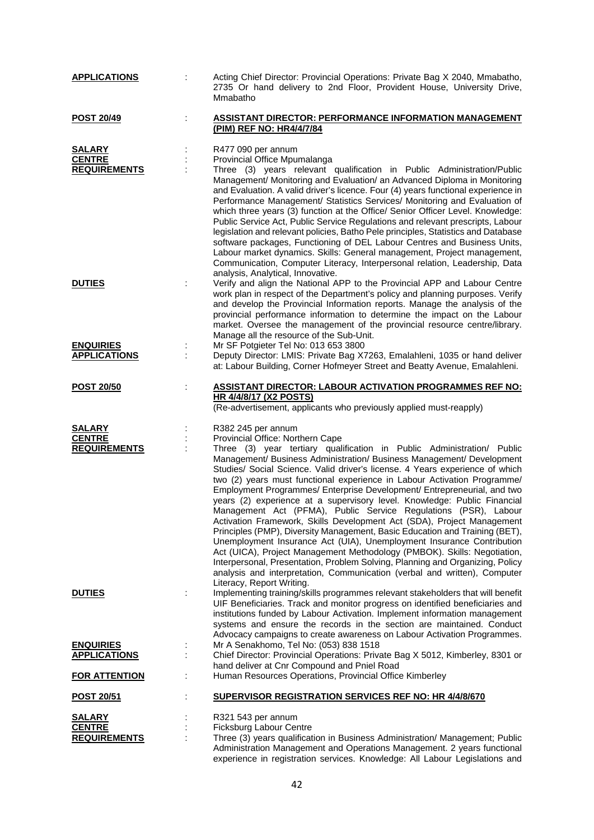| <b>APPLICATIONS</b>                                             | Acting Chief Director: Provincial Operations: Private Bag X 2040, Mmabatho,<br>2735 Or hand delivery to 2nd Floor, Provident House, University Drive,<br>Mmabatho                                                                                                                                                                                                                                                                                                                                                                                                                                                                                                                                                                                                                                                                                                                                                                                                                                                                                                                                        |
|-----------------------------------------------------------------|----------------------------------------------------------------------------------------------------------------------------------------------------------------------------------------------------------------------------------------------------------------------------------------------------------------------------------------------------------------------------------------------------------------------------------------------------------------------------------------------------------------------------------------------------------------------------------------------------------------------------------------------------------------------------------------------------------------------------------------------------------------------------------------------------------------------------------------------------------------------------------------------------------------------------------------------------------------------------------------------------------------------------------------------------------------------------------------------------------|
| <b>POST 20/49</b>                                               | <b>ASSISTANT DIRECTOR: PERFORMANCE INFORMATION MANAGEMENT</b><br>(PIM) REF NO: HR4/4/7/84                                                                                                                                                                                                                                                                                                                                                                                                                                                                                                                                                                                                                                                                                                                                                                                                                                                                                                                                                                                                                |
| <b>SALARY</b><br><b>CENTRE</b><br><b>REQUIREMENTS</b>           | R477 090 per annum<br>Provincial Office Mpumalanga<br>Three (3) years relevant qualification in Public Administration/Public<br>Management/ Monitoring and Evaluation/ an Advanced Diploma in Monitoring<br>and Evaluation. A valid driver's licence. Four (4) years functional experience in<br>Performance Management/ Statistics Services/ Monitoring and Evaluation of<br>which three years (3) function at the Office/ Senior Officer Level. Knowledge:<br>Public Service Act, Public Service Regulations and relevant prescripts, Labour<br>legislation and relevant policies, Batho Pele principles, Statistics and Database<br>software packages, Functioning of DEL Labour Centres and Business Units,<br>Labour market dynamics. Skills: General management, Project management,<br>Communication, Computer Literacy, Interpersonal relation, Leadership, Data<br>analysis, Analytical, Innovative.                                                                                                                                                                                            |
| <b>DUTIES</b>                                                   | Verify and align the National APP to the Provincial APP and Labour Centre<br>work plan in respect of the Department's policy and planning purposes. Verify<br>and develop the Provincial Information reports. Manage the analysis of the<br>provincial performance information to determine the impact on the Labour<br>market. Oversee the management of the provincial resource centre/library.<br>Manage all the resource of the Sub-Unit.                                                                                                                                                                                                                                                                                                                                                                                                                                                                                                                                                                                                                                                            |
| <b>ENQUIRIES</b><br><b>APPLICATIONS</b>                         | Mr SF Potgieter Tel No: 013 653 3800<br>Deputy Director: LMIS: Private Bag X7263, Emalahleni, 1035 or hand deliver<br>at: Labour Building, Corner Hofmeyer Street and Beatty Avenue, Emalahleni.                                                                                                                                                                                                                                                                                                                                                                                                                                                                                                                                                                                                                                                                                                                                                                                                                                                                                                         |
| <b>POST 20/50</b>                                               | <u> ASSISTANT DIRECTOR: LABOUR ACTIVATION PROGRAMMES REF NO:</u><br><b>HR 4/4/8/17 (X2 POSTS)</b><br>(Re-advertisement, applicants who previously applied must-reapply)                                                                                                                                                                                                                                                                                                                                                                                                                                                                                                                                                                                                                                                                                                                                                                                                                                                                                                                                  |
| <b>SALARY</b><br><b>CENTRE</b><br><b>REQUIREMENTS</b>           | R382 245 per annum<br>Provincial Office: Northern Cape<br>Three (3) year tertiary qualification in Public Administration/ Public<br>Management/ Business Administration/ Business Management/ Development<br>Studies/ Social Science. Valid driver's license. 4 Years experience of which<br>two (2) years must functional experience in Labour Activation Programme/<br>Employment Programmes/ Enterprise Development/ Entrepreneurial, and two<br>years (2) experience at a supervisory level. Knowledge: Public Financial<br>Management Act (PFMA), Public Service Regulations (PSR), Labour<br>Activation Framework, Skills Development Act (SDA), Project Management<br>Principles (PMP), Diversity Management, Basic Education and Training (BET),<br>Unemployment Insurance Act (UIA), Unemployment Insurance Contribution<br>Act (UICA), Project Management Methodology (PMBOK). Skills: Negotiation,<br>Interpersonal, Presentation, Problem Solving, Planning and Organizing, Policy<br>analysis and interpretation, Communication (verbal and written), Computer<br>Literacy, Report Writing. |
| <b>DUTIES</b>                                                   | Implementing training/skills programmes relevant stakeholders that will benefit<br>UIF Beneficiaries. Track and monitor progress on identified beneficiaries and<br>institutions funded by Labour Activation. Implement information management<br>systems and ensure the records in the section are maintained. Conduct<br>Advocacy campaigns to create awareness on Labour Activation Programmes.                                                                                                                                                                                                                                                                                                                                                                                                                                                                                                                                                                                                                                                                                                       |
| <b>ENQUIRIES</b><br><b>APPLICATIONS</b><br><b>FOR ATTENTION</b> | Mr A Senakhomo, Tel No: (053) 838 1518<br>÷<br>Chief Director: Provincial Operations: Private Bag X 5012, Kimberley, 8301 or<br>hand deliver at Cnr Compound and Pniel Road<br>Human Resources Operations, Provincial Office Kimberley                                                                                                                                                                                                                                                                                                                                                                                                                                                                                                                                                                                                                                                                                                                                                                                                                                                                   |
| <b>POST 20/51</b>                                               | <b>SUPERVISOR REGISTRATION SERVICES REF NO: HR 4/4/8/670</b>                                                                                                                                                                                                                                                                                                                                                                                                                                                                                                                                                                                                                                                                                                                                                                                                                                                                                                                                                                                                                                             |
| <b>SALARY</b><br><b>CENTRE</b><br><b>REQUIREMENTS</b>           | R321 543 per annum<br>Ficksburg Labour Centre<br>Three (3) years qualification in Business Administration/ Management; Public<br>Administration Management and Operations Management. 2 years functional<br>experience in registration services. Knowledge: All Labour Legislations and                                                                                                                                                                                                                                                                                                                                                                                                                                                                                                                                                                                                                                                                                                                                                                                                                  |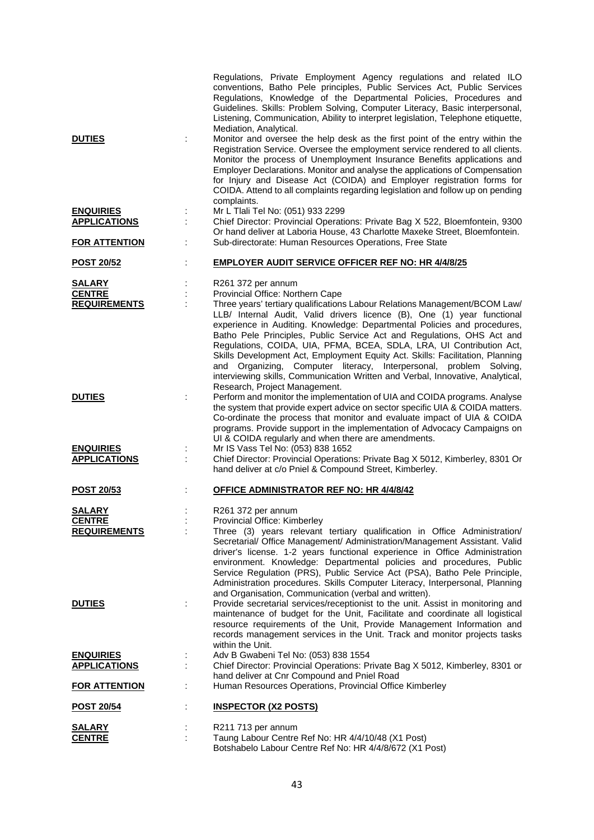|                           | Regulations, Private Employment Agency regulations and related ILO<br>conventions, Batho Pele principles, Public Services Act, Public Services<br>Regulations, Knowledge of the Departmental Policies, Procedures and<br>Guidelines. Skills: Problem Solving, Computer Literacy, Basic interpersonal,<br>Listening, Communication, Ability to interpret legislation, Telephone etiquette,<br>Mediation, Analytical.                                                                                                                                                                                                                                           |
|---------------------------|---------------------------------------------------------------------------------------------------------------------------------------------------------------------------------------------------------------------------------------------------------------------------------------------------------------------------------------------------------------------------------------------------------------------------------------------------------------------------------------------------------------------------------------------------------------------------------------------------------------------------------------------------------------|
| <b>DUTIES</b>             | Monitor and oversee the help desk as the first point of the entry within the<br>Registration Service. Oversee the employment service rendered to all clients.<br>Monitor the process of Unemployment Insurance Benefits applications and<br>Employer Declarations. Monitor and analyse the applications of Compensation<br>for Injury and Disease Act (COIDA) and Employer registration forms for<br>COIDA. Attend to all complaints regarding legislation and follow up on pending<br>complaints.                                                                                                                                                            |
| <b>ENQUIRIES</b>          | Mr L Tlali Tel No: (051) 933 2299                                                                                                                                                                                                                                                                                                                                                                                                                                                                                                                                                                                                                             |
| <b>APPLICATIONS</b>       | Chief Director: Provincial Operations: Private Bag X 522, Bloemfontein, 9300<br>Or hand deliver at Laboria House, 43 Charlotte Maxeke Street, Bloemfontein.                                                                                                                                                                                                                                                                                                                                                                                                                                                                                                   |
| <b>FOR ATTENTION</b><br>t | Sub-directorate: Human Resources Operations, Free State                                                                                                                                                                                                                                                                                                                                                                                                                                                                                                                                                                                                       |
| <b>POST 20/52</b>         | <b>EMPLOYER AUDIT SERVICE OFFICER REF NO: HR 4/4/8/25</b>                                                                                                                                                                                                                                                                                                                                                                                                                                                                                                                                                                                                     |
| <b>SALARY</b>             | R261 372 per annum                                                                                                                                                                                                                                                                                                                                                                                                                                                                                                                                                                                                                                            |
| <b>CENTRE</b>             | Provincial Office: Northern Cape                                                                                                                                                                                                                                                                                                                                                                                                                                                                                                                                                                                                                              |
| <b>REQUIREMENTS</b>       | Three years' tertiary qualifications Labour Relations Management/BCOM Law/<br>LLB/ Internal Audit, Valid drivers licence (B), One (1) year functional<br>experience in Auditing. Knowledge: Departmental Policies and procedures,<br>Batho Pele Principles, Public Service Act and Regulations, OHS Act and<br>Regulations, COIDA, UIA, PFMA, BCEA, SDLA, LRA, UI Contribution Act,<br>Skills Development Act, Employment Equity Act. Skills: Facilitation, Planning<br>and Organizing, Computer literacy, Interpersonal, problem Solving,<br>interviewing skills, Communication Written and Verbal, Innovative, Analytical,<br>Research, Project Management. |
| <b>DUTIES</b>             | Perform and monitor the implementation of UIA and COIDA programs. Analyse<br>the system that provide expert advice on sector specific UIA & COIDA matters.<br>Co-ordinate the process that monitor and evaluate impact of UIA & COIDA<br>programs. Provide support in the implementation of Advocacy Campaigns on<br>UI & COIDA regularly and when there are amendments.                                                                                                                                                                                                                                                                                      |
| <b>ENQUIRIES</b>          | Mr IS Vass Tel No: (053) 838 1652                                                                                                                                                                                                                                                                                                                                                                                                                                                                                                                                                                                                                             |
| <b>APPLICATIONS</b>       | Chief Director: Provincial Operations: Private Bag X 5012, Kimberley, 8301 Or<br>hand deliver at c/o Pniel & Compound Street, Kimberley.                                                                                                                                                                                                                                                                                                                                                                                                                                                                                                                      |
| <b>POST 20/53</b>         | <b>OFFICE ADMINISTRATOR REF NO: HR 4/4/8/42</b>                                                                                                                                                                                                                                                                                                                                                                                                                                                                                                                                                                                                               |
| SALARY                    | R261 372 per annum                                                                                                                                                                                                                                                                                                                                                                                                                                                                                                                                                                                                                                            |
| <b>CENTRE</b>             | Provincial Office: Kimberley                                                                                                                                                                                                                                                                                                                                                                                                                                                                                                                                                                                                                                  |
| <b>REQUIREMENTS</b>       | Three (3) years relevant tertiary qualification in Office Administration/<br>Secretarial/ Office Management/ Administration/Management Assistant. Valid<br>driver's license. 1-2 years functional experience in Office Administration<br>environment. Knowledge: Departmental policies and procedures, Public<br>Service Regulation (PRS), Public Service Act (PSA), Batho Pele Principle,<br>Administration procedures. Skills Computer Literacy, Interpersonal, Planning<br>and Organisation, Communication (verbal and written).                                                                                                                           |
| <b>DUTIES</b>             | Provide secretarial services/receptionist to the unit. Assist in monitoring and<br>maintenance of budget for the Unit, Facilitate and coordinate all logistical<br>resource requirements of the Unit, Provide Management Information and<br>records management services in the Unit. Track and monitor projects tasks                                                                                                                                                                                                                                                                                                                                         |
| <b>ENQUIRIES</b>          | within the Unit.<br>Adv B Gwabeni Tel No: (053) 838 1554                                                                                                                                                                                                                                                                                                                                                                                                                                                                                                                                                                                                      |
| <b>APPLICATIONS</b>       | Chief Director: Provincial Operations: Private Bag X 5012, Kimberley, 8301 or                                                                                                                                                                                                                                                                                                                                                                                                                                                                                                                                                                                 |
| <b>FOR ATTENTION</b>      | hand deliver at Cnr Compound and Pniel Road<br>Human Resources Operations, Provincial Office Kimberley                                                                                                                                                                                                                                                                                                                                                                                                                                                                                                                                                        |
| <b>POST 20/54</b>         | <b>INSPECTOR (X2 POSTS)</b>                                                                                                                                                                                                                                                                                                                                                                                                                                                                                                                                                                                                                                   |
| <u>SALARY</u>             | R211 713 per annum                                                                                                                                                                                                                                                                                                                                                                                                                                                                                                                                                                                                                                            |
| <b>CENTRE</b>             | Taung Labour Centre Ref No: HR 4/4/10/48 (X1 Post)<br>Botshabelo Labour Centre Ref No: HR 4/4/8/672 (X1 Post)                                                                                                                                                                                                                                                                                                                                                                                                                                                                                                                                                 |